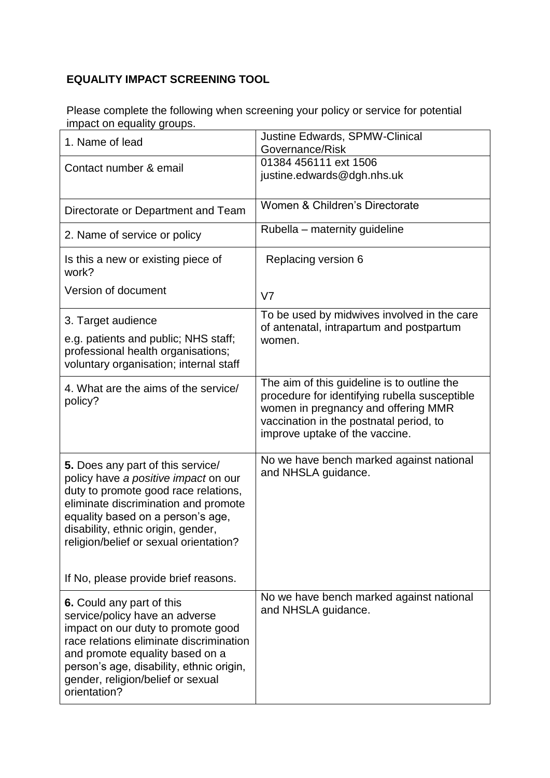## **EQUALITY IMPACT SCREENING TOOL**

Please complete the following when screening your policy or service for potential impact on equality groups.

| 1. Name of lead                                                                                                                                                                                                                                                                  | <b>Justine Edwards, SPMW-Clinical</b><br>Governance/Risk                                                                                                                                                         |
|----------------------------------------------------------------------------------------------------------------------------------------------------------------------------------------------------------------------------------------------------------------------------------|------------------------------------------------------------------------------------------------------------------------------------------------------------------------------------------------------------------|
| Contact number & email                                                                                                                                                                                                                                                           | 01384 456111 ext 1506<br>justine.edwards@dgh.nhs.uk                                                                                                                                                              |
| Directorate or Department and Team                                                                                                                                                                                                                                               | Women & Children's Directorate                                                                                                                                                                                   |
| 2. Name of service or policy                                                                                                                                                                                                                                                     | Rubella – maternity guideline                                                                                                                                                                                    |
| Is this a new or existing piece of<br>work?                                                                                                                                                                                                                                      | Replacing version 6                                                                                                                                                                                              |
| Version of document                                                                                                                                                                                                                                                              | V <sub>7</sub>                                                                                                                                                                                                   |
| 3. Target audience<br>e.g. patients and public; NHS staff;<br>professional health organisations;<br>voluntary organisation; internal staff                                                                                                                                       | To be used by midwives involved in the care<br>of antenatal, intrapartum and postpartum<br>women.                                                                                                                |
| 4. What are the aims of the service/<br>policy?                                                                                                                                                                                                                                  | The aim of this guideline is to outline the<br>procedure for identifying rubella susceptible<br>women in pregnancy and offering MMR<br>vaccination in the postnatal period, to<br>improve uptake of the vaccine. |
| 5. Does any part of this service/<br>policy have a positive impact on our<br>duty to promote good race relations,<br>eliminate discrimination and promote<br>equality based on a person's age,<br>disability, ethnic origin, gender,<br>religion/belief or sexual orientation?   | No we have bench marked against national<br>and NHSLA guidance.                                                                                                                                                  |
| If No, please provide brief reasons.                                                                                                                                                                                                                                             |                                                                                                                                                                                                                  |
| 6. Could any part of this<br>service/policy have an adverse<br>impact on our duty to promote good<br>race relations eliminate discrimination<br>and promote equality based on a<br>person's age, disability, ethnic origin,<br>gender, religion/belief or sexual<br>orientation? | No we have bench marked against national<br>and NHSLA guidance.                                                                                                                                                  |